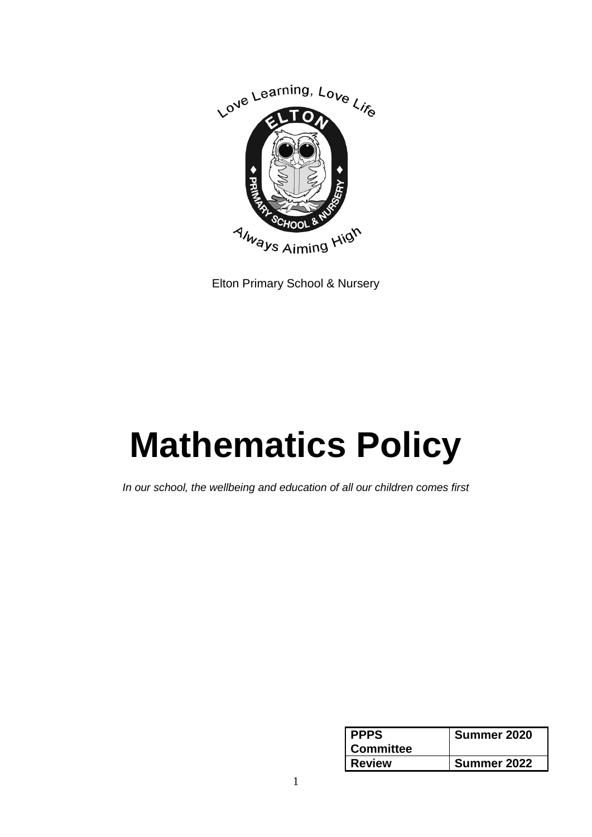

Elton Primary School & Nursery

# **Mathematics Policy**

*In our school, the wellbeing and education of all our children comes first*

| <b>PPPS</b>      | Summer 2020 |
|------------------|-------------|
| <b>Committee</b> |             |
| <b>Review</b>    | Summer 2022 |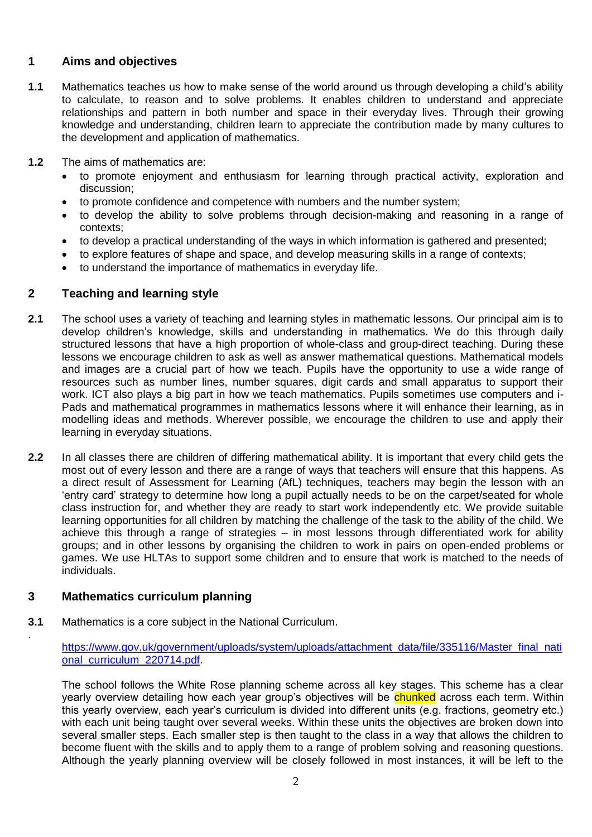# **1 Aims and objectives**

- **1.1** Mathematics teaches us how to make sense of the world around us through developing a child's ability to calculate, to reason and to solve problems. It enables children to understand and appreciate relationships and pattern in both number and space in their everyday lives. Through their growing knowledge and understanding, children learn to appreciate the contribution made by many cultures to the development and application of mathematics.
- **1.2** The aims of mathematics are:
	- to promote enjoyment and enthusiasm for learning through practical activity, exploration and discussion;
	- to promote confidence and competence with numbers and the number system;
	- to develop the ability to solve problems through decision-making and reasoning in a range of contexts;
	- to develop a practical understanding of the ways in which information is gathered and presented;
	- to explore features of shape and space, and develop measuring skills in a range of contexts;
	- to understand the importance of mathematics in everyday life.

# **2 Teaching and learning style**

- **2.1** The school uses a variety of teaching and learning styles in mathematic lessons. Our principal aim is to develop children's knowledge, skills and understanding in mathematics. We do this through daily structured lessons that have a high proportion of whole-class and group-direct teaching. During these lessons we encourage children to ask as well as answer mathematical questions. Mathematical models and images are a crucial part of how we teach. Pupils have the opportunity to use a wide range of resources such as number lines, number squares, digit cards and small apparatus to support their work. ICT also plays a big part in how we teach mathematics. Pupils sometimes use computers and i-Pads and mathematical programmes in mathematics lessons where it will enhance their learning, as in modelling ideas and methods. Wherever possible, we encourage the children to use and apply their learning in everyday situations.
- **2.2** In all classes there are children of differing mathematical ability. It is important that every child gets the most out of every lesson and there are a range of ways that teachers will ensure that this happens. As a direct result of Assessment for Learning (AfL) techniques, teachers may begin the lesson with an 'entry card' strategy to determine how long a pupil actually needs to be on the carpet/seated for whole class instruction for, and whether they are ready to start work independently etc. We provide suitable learning opportunities for all children by matching the challenge of the task to the ability of the child. We achieve this through a range of strategies – in most lessons through differentiated work for ability groups; and in other lessons by organising the children to work in pairs on open-ended problems or games. We use HLTAs to support some children and to ensure that work is matched to the needs of individuals.

# **3 Mathematics curriculum planning**

.

**3.1** Mathematics is a core subject in the National Curriculum.

[https://www.gov.uk/government/uploads/system/uploads/attachment\\_data/file/335116/Master\\_final\\_nati](https://www.gov.uk/government/uploads/system/uploads/attachment_data/file/335116/Master_final_national_curriculum_220714.pdf) [onal\\_curriculum\\_220714.pdf.](https://www.gov.uk/government/uploads/system/uploads/attachment_data/file/335116/Master_final_national_curriculum_220714.pdf)

The school follows the White Rose planning scheme across all key stages. This scheme has a clear yearly overview detailing how each year group's objectives will be chunked across each term. Within this yearly overview, each year's curriculum is divided into different units (e.g. fractions, geometry etc.) with each unit being taught over several weeks. Within these units the objectives are broken down into several smaller steps. Each smaller step is then taught to the class in a way that allows the children to become fluent with the skills and to apply them to a range of problem solving and reasoning questions. Although the yearly planning overview will be closely followed in most instances, it will be left to the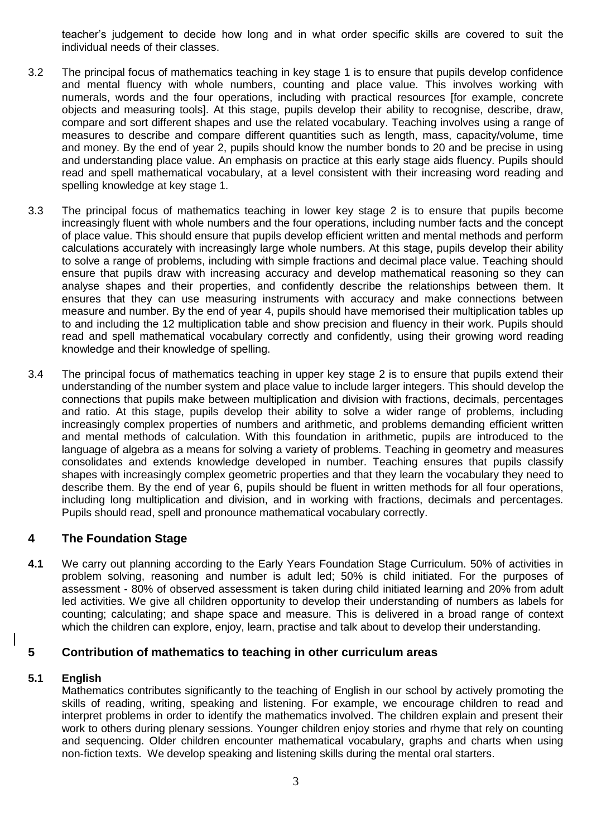teacher's judgement to decide how long and in what order specific skills are covered to suit the individual needs of their classes.

- 3.2 The principal focus of mathematics teaching in key stage 1 is to ensure that pupils develop confidence and mental fluency with whole numbers, counting and place value. This involves working with numerals, words and the four operations, including with practical resources [for example, concrete objects and measuring tools]. At this stage, pupils develop their ability to recognise, describe, draw, compare and sort different shapes and use the related vocabulary. Teaching involves using a range of measures to describe and compare different quantities such as length, mass, capacity/volume, time and money. By the end of year 2, pupils should know the number bonds to 20 and be precise in using and understanding place value. An emphasis on practice at this early stage aids fluency. Pupils should read and spell mathematical vocabulary, at a level consistent with their increasing word reading and spelling knowledge at key stage 1.
- 3.3 The principal focus of mathematics teaching in lower key stage 2 is to ensure that pupils become increasingly fluent with whole numbers and the four operations, including number facts and the concept of place value. This should ensure that pupils develop efficient written and mental methods and perform calculations accurately with increasingly large whole numbers. At this stage, pupils develop their ability to solve a range of problems, including with simple fractions and decimal place value. Teaching should ensure that pupils draw with increasing accuracy and develop mathematical reasoning so they can analyse shapes and their properties, and confidently describe the relationships between them. It ensures that they can use measuring instruments with accuracy and make connections between measure and number. By the end of year 4, pupils should have memorised their multiplication tables up to and including the 12 multiplication table and show precision and fluency in their work. Pupils should read and spell mathematical vocabulary correctly and confidently, using their growing word reading knowledge and their knowledge of spelling.
- 3.4 The principal focus of mathematics teaching in upper key stage 2 is to ensure that pupils extend their understanding of the number system and place value to include larger integers. This should develop the connections that pupils make between multiplication and division with fractions, decimals, percentages and ratio. At this stage, pupils develop their ability to solve a wider range of problems, including increasingly complex properties of numbers and arithmetic, and problems demanding efficient written and mental methods of calculation. With this foundation in arithmetic, pupils are introduced to the language of algebra as a means for solving a variety of problems. Teaching in geometry and measures consolidates and extends knowledge developed in number. Teaching ensures that pupils classify shapes with increasingly complex geometric properties and that they learn the vocabulary they need to describe them. By the end of year 6, pupils should be fluent in written methods for all four operations, including long multiplication and division, and in working with fractions, decimals and percentages. Pupils should read, spell and pronounce mathematical vocabulary correctly.

# **4 The Foundation Stage**

**4.1** We carry out planning according to the Early Years Foundation Stage Curriculum. 50% of activities in problem solving, reasoning and number is adult led; 50% is child initiated. For the purposes of assessment - 80% of observed assessment is taken during child initiated learning and 20% from adult led activities. We give all children opportunity to develop their understanding of numbers as labels for counting; calculating; and shape space and measure. This is delivered in a broad range of context which the children can explore, enjoy, learn, practise and talk about to develop their understanding.

#### **5 Contribution of mathematics to teaching in other curriculum areas**

#### **5.1 English**

Mathematics contributes significantly to the teaching of English in our school by actively promoting the skills of reading, writing, speaking and listening. For example, we encourage children to read and interpret problems in order to identify the mathematics involved. The children explain and present their work to others during plenary sessions. Younger children enjoy stories and rhyme that rely on counting and sequencing. Older children encounter mathematical vocabulary, graphs and charts when using non-fiction texts. We develop speaking and listening skills during the mental oral starters.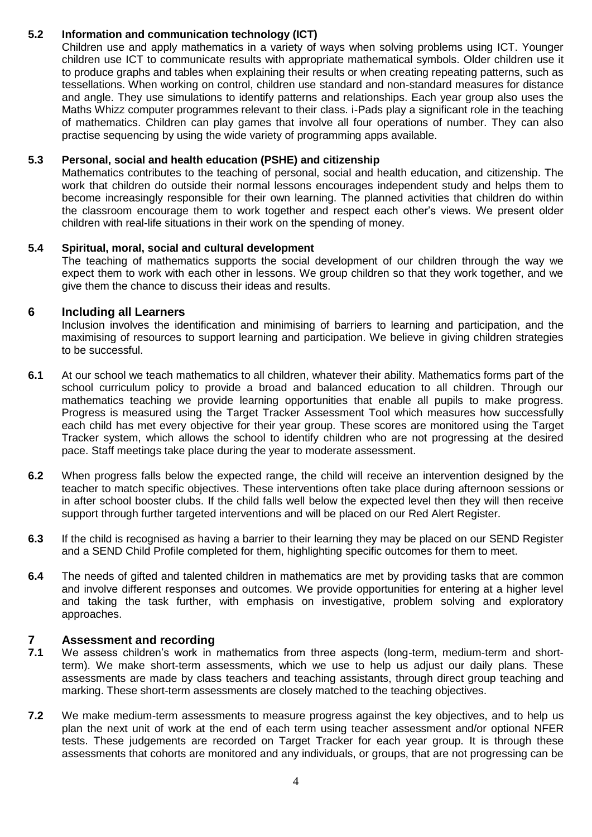# **5.2 Information and communication technology (ICT)**

Children use and apply mathematics in a variety of ways when solving problems using ICT. Younger children use ICT to communicate results with appropriate mathematical symbols. Older children use it to produce graphs and tables when explaining their results or when creating repeating patterns, such as tessellations. When working on control, children use standard and non-standard measures for distance and angle. They use simulations to identify patterns and relationships. Each year group also uses the Maths Whizz computer programmes relevant to their class. i-Pads play a significant role in the teaching of mathematics. Children can play games that involve all four operations of number. They can also practise sequencing by using the wide variety of programming apps available.

#### **5.3 Personal, social and health education (PSHE) and citizenship**

Mathematics contributes to the teaching of personal, social and health education, and citizenship. The work that children do outside their normal lessons encourages independent study and helps them to become increasingly responsible for their own learning. The planned activities that children do within the classroom encourage them to work together and respect each other's views. We present older children with real-life situations in their work on the spending of money.

#### **5.4 Spiritual, moral, social and cultural development**

The teaching of mathematics supports the social development of our children through the way we expect them to work with each other in lessons. We group children so that they work together, and we give them the chance to discuss their ideas and results.

#### **6 Including all Learners**

Inclusion involves the identification and minimising of barriers to learning and participation, and the maximising of resources to support learning and participation. We believe in giving children strategies to be successful.

- **6.1** At our school we teach mathematics to all children, whatever their ability. Mathematics forms part of the school curriculum policy to provide a broad and balanced education to all children. Through our mathematics teaching we provide learning opportunities that enable all pupils to make progress. Progress is measured using the Target Tracker Assessment Tool which measures how successfully each child has met every objective for their year group. These scores are monitored using the Target Tracker system, which allows the school to identify children who are not progressing at the desired pace. Staff meetings take place during the year to moderate assessment.
- **6.2** When progress falls below the expected range, the child will receive an intervention designed by the teacher to match specific objectives. These interventions often take place during afternoon sessions or in after school booster clubs. If the child falls well below the expected level then they will then receive support through further targeted interventions and will be placed on our Red Alert Register.
- **6.3** If the child is recognised as having a barrier to their learning they may be placed on our SEND Register and a SEND Child Profile completed for them, highlighting specific outcomes for them to meet.
- **6.4** The needs of gifted and talented children in mathematics are met by providing tasks that are common and involve different responses and outcomes. We provide opportunities for entering at a higher level and taking the task further, with emphasis on investigative, problem solving and exploratory approaches.

# **7 Assessment and recording**<br>**7.1** We assess children's work in

- **7.1** We assess children's work in mathematics from three aspects (long-term, medium-term and shortterm). We make short-term assessments, which we use to help us adjust our daily plans. These assessments are made by class teachers and teaching assistants, through direct group teaching and marking. These short-term assessments are closely matched to the teaching objectives.
- **7.2** We make medium-term assessments to measure progress against the key objectives, and to help us plan the next unit of work at the end of each term using teacher assessment and/or optional NFER tests. These judgements are recorded on Target Tracker for each year group. It is through these assessments that cohorts are monitored and any individuals, or groups, that are not progressing can be